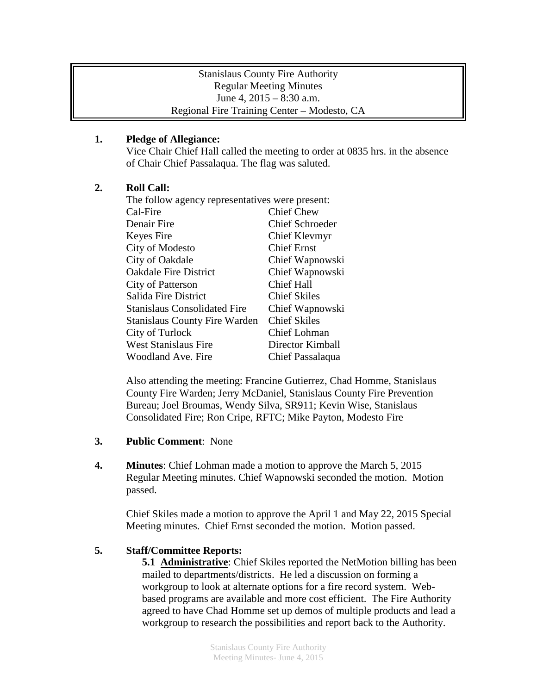#### Stanislaus County Fire Authority Regular Meeting Minutes June 4, 2015 – 8:30 a.m. Regional Fire Training Center – Modesto, CA

## **1. Pledge of Allegiance:**

Vice Chair Chief Hall called the meeting to order at 0835 hrs. in the absence of Chair Chief Passalaqua. The flag was saluted.

## **2. Roll Call:**

| The follow agency representatives were present: |                        |
|-------------------------------------------------|------------------------|
| Cal-Fire                                        | <b>Chief Chew</b>      |
| Denair Fire                                     | <b>Chief Schroeder</b> |
| Keyes Fire                                      | Chief Klevmyr          |
| City of Modesto                                 | <b>Chief Ernst</b>     |
| City of Oakdale                                 | Chief Wapnowski        |
| <b>Oakdale Fire District</b>                    | Chief Wapnowski        |
| <b>City of Patterson</b>                        | <b>Chief Hall</b>      |
| Salida Fire District                            | <b>Chief Skiles</b>    |
| <b>Stanislaus Consolidated Fire</b>             | Chief Wapnowski        |
| <b>Stanislaus County Fire Warden</b>            | <b>Chief Skiles</b>    |
| City of Turlock                                 | Chief Lohman           |
| <b>West Stanislaus Fire</b>                     | Director Kimball       |
| Woodland Ave. Fire                              | Chief Passalaqua       |

Also attending the meeting: Francine Gutierrez, Chad Homme, Stanislaus County Fire Warden; Jerry McDaniel, Stanislaus County Fire Prevention Bureau; Joel Broumas, Wendy Silva, SR911; Kevin Wise, Stanislaus Consolidated Fire; Ron Cripe, RFTC; Mike Payton, Modesto Fire

- **3. Public Comment**: None
- **4. Minutes**: Chief Lohman made a motion to approve the March 5, 2015 Regular Meeting minutes. Chief Wapnowski seconded the motion. Motion passed.

Chief Skiles made a motion to approve the April 1 and May 22, 2015 Special Meeting minutes. Chief Ernst seconded the motion. Motion passed.

## **5. Staff/Committee Reports:**

**5.1 Administrative**: Chief Skiles reported the NetMotion billing has been mailed to departments/districts. He led a discussion on forming a workgroup to look at alternate options for a fire record system. Webbased programs are available and more cost efficient. The Fire Authority agreed to have Chad Homme set up demos of multiple products and lead a workgroup to research the possibilities and report back to the Authority.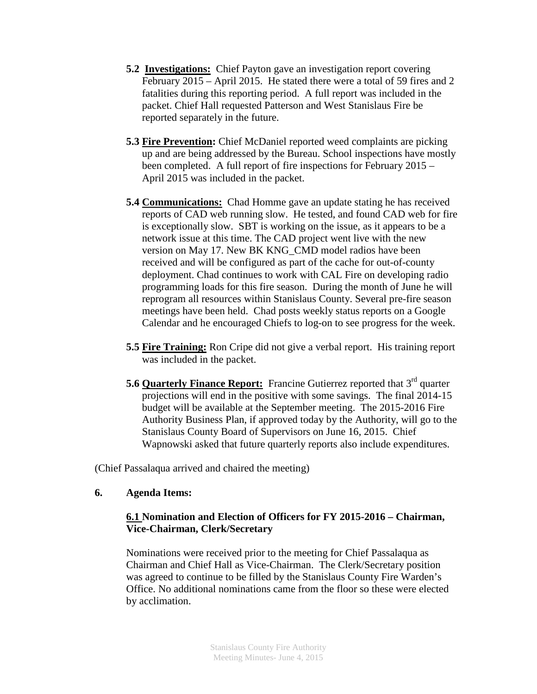- **5.2 Investigations:** Chief Payton gave an investigation report covering February 2015 – April 2015. He stated there were a total of 59 fires and 2 fatalities during this reporting period. A full report was included in the packet. Chief Hall requested Patterson and West Stanislaus Fire be reported separately in the future.
- **5.3 Fire Prevention:** Chief McDaniel reported weed complaints are picking up and are being addressed by the Bureau. School inspections have mostly been completed. A full report of fire inspections for February 2015 – April 2015 was included in the packet.
- **5.4 Communications:** Chad Homme gave an update stating he has received reports of CAD web running slow. He tested, and found CAD web for fire is exceptionally slow. SBT is working on the issue, as it appears to be a network issue at this time. The CAD project went live with the new version on May 17. New BK KNG\_CMD model radios have been received and will be configured as part of the cache for out-of-county deployment. Chad continues to work with CAL Fire on developing radio programming loads for this fire season. During the month of June he will reprogram all resources within Stanislaus County. Several pre-fire season meetings have been held. Chad posts weekly status reports on a Google Calendar and he encouraged Chiefs to log-on to see progress for the week.
- **5.5 Fire Training:** Ron Cripe did not give a verbal report. His training report was included in the packet.
- **5.6 Quarterly Finance Report:** Francine Gutierrez reported that 3<sup>rd</sup> quarter projections will end in the positive with some savings. The final 2014-15 budget will be available at the September meeting. The 2015-2016 Fire Authority Business Plan, if approved today by the Authority, will go to the Stanislaus County Board of Supervisors on June 16, 2015. Chief Wapnowski asked that future quarterly reports also include expenditures.

(Chief Passalaqua arrived and chaired the meeting)

## **6. Agenda Items:**

## **6.1 Nomination and Election of Officers for FY 2015-2016 – Chairman, Vice-Chairman, Clerk/Secretary**

Nominations were received prior to the meeting for Chief Passalaqua as Chairman and Chief Hall as Vice-Chairman. The Clerk/Secretary position was agreed to continue to be filled by the Stanislaus County Fire Warden's Office. No additional nominations came from the floor so these were elected by acclimation.